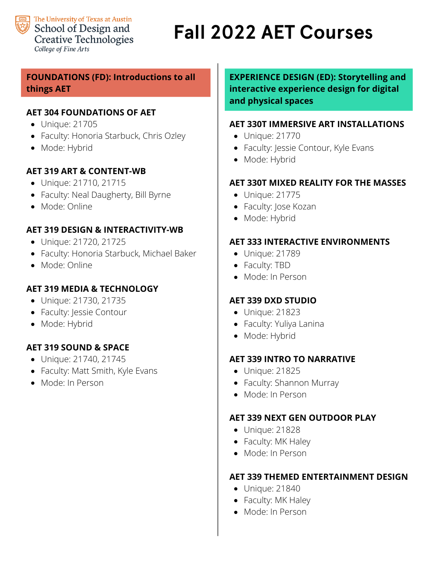

## **Fall 2022 AET Courses**

## **FOUNDATIONS (FD): Introductions to all things AET**

## **AET 304 FOUNDATIONS OF AET**

- Unique: 21705
- Faculty: Honoria Starbuck, Chris Ozley
- Mode: Hybrid

## **AET 319 ART & CONTENT-WB**

- Unique: 21710, 21715
- Faculty: Neal Daugherty, Bill Byrne
- Mode: Online

## **AET 319 DESIGN & INTERACTIVITY-WB**

- Unique: 21720, 21725
- Faculty: Honoria Starbuck, Michael Baker
- Mode: Online

## **AET 319 MEDIA & TECHNOLOGY**

- Unique: 21730, 21735
- Faculty: Jessie Contour
- Mode: Hybrid

## **AET 319 SOUND & SPACE**

- Unique: 21740, 21745
- Faculty: Matt Smith, Kyle Evans
- Mode: In Person

**EXPERIENCE DESIGN (ED): Storytelling and interactive experience design for digital and physical spaces**

## **AET 330T IMMERSIVE ART INSTALLATIONS**

- Unique: 21770
- Faculty: Jessie Contour, Kyle Evans
- Mode: Hybrid

## **AET 330T MIXED REALITY FOR THE MASSES**

- Unique: 21775
- Faculty: Jose Kozan
- Mode: Hybrid

## **AET 333 INTERACTIVE ENVIRONMENTS**

- Unique: 21789
- Faculty: TBD
- Mode: In Person

## **AET 339 DXD STUDIO**

- Unique: 21823
- Faculty: Yuliya Lanina
- Mode: Hybrid

## **AET 339 INTRO TO NARRATIVE**

- Unique: 21825
- Faculty: Shannon Murray
- Mode: In Person

### **AET 339 NEXT GEN OUTDOOR PLAY**

- Unique: 21828
- Faculty: MK Haley
- Mode: In Person

### **AET 339 THEMED ENTERTAINMENT DESIGN**

- Unique: 21840
- Faculty: MK Haley
- Mode: In Person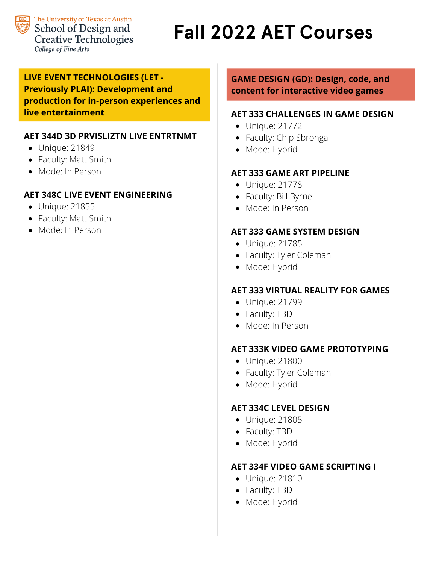

## **Fall 2022 AET Courses**

## **LIVE EVENT TECHNOLOGIES (LET - Previously PLAI): Development and production for in-person experiences and live entertainment**

## **AET 344D 3D PRVISLIZTN LIVE ENTRTNMT**

- Unique: 21849
- Faculty: Matt Smith
- Mode: In Person

## **AET 348C LIVE EVENT ENGINEERING**

- Unique: 21855
- Faculty: Matt Smith
- Mode: In Person

## **GAME DESIGN (GD): Design, code, and content for interactive video games**

### **AET 333 CHALLENGES IN GAME DESIGN**

- Unique: 21772
- Faculty: Chip Sbronga
- Mode: Hybrid

## **AET 333 GAME ART PIPELINE**

- Unique: 21778
- Faculty: Bill Byrne
- Mode: In Person

### **AET 333 GAME SYSTEM DESIGN**

- Unique: 21785
- Faculty: Tyler Coleman
- Mode: Hybrid

## **AET 333 VIRTUAL REALITY FOR GAMES**

- Unique: 21799
- Faculty: TBD
- Mode: In Person

### **AET 333K VIDEO GAME PROTOTYPING**

- Unique: 21800
- Faculty: Tyler Coleman
- Mode: Hybrid

### **AET 334C LEVEL DESIGN**

- Unique: 21805
- Faculty: TBD
- Mode: Hybrid

### **AET 334F VIDEO GAME SCRIPTING I**

- Unique: 21810
- Faculty: TBD
- Mode: Hybrid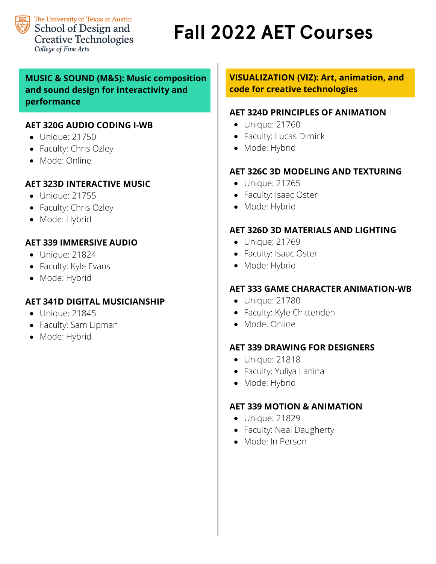

# **Fall 2022 AET Courses**

## **MUSIC & SOUND (M&S): Music composition and sound design for interactivity and performance**

## **AET 320G AUDIO CODING I-WB**

- Unique: 21750
- Faculty: Chris Ozley
- Mode: Online

## **AET 323D INTERACTIVE MUSIC**

- Unique: 21755
- Faculty: Chris Ozley
- Mode: Hybrid

## **AET 339 IMMERSIVE AUDIO**

- Unique: 21824
- Faculty: Kyle Evans
- Mode: Hybrid

## **AET 341D DIGITAL MUSICIANSHIP**

- Unique: 21845
- Faculty: Sam Lipman
- Mode: Hybrid

## **VISUALIZATION (VIZ): Art, animation, and code for creative technologies**

## **AET 324D PRINCIPLES OF ANIMATION**

- Unique: 21760
- Faculty: Lucas Dimick
- Mode: Hybrid

## **AET 326C 3D MODELING AND TEXTURING**

- Unique: 21765
- Faculty: Isaac Oster
- Mode: Hybrid

## **AET 326D 3D MATERIALS AND LIGHTING**

- Unique: 21769
- Faculty: Isaac Oster
- Mode: Hybrid

## **AET 333 GAME CHARACTER ANIMATION-WB**

- Unique: 21780
- Faculty: Kyle Chittenden
- Mode: Online

## **AET 339 DRAWING FOR DESIGNERS**

- Unique: 21818
- Faculty: Yuliya Lanina
- Mode: Hybrid

## **AET 339 MOTION & ANIMATION**

- Unique: 21829
- Faculty: Neal Daugherty
- Mode: In Person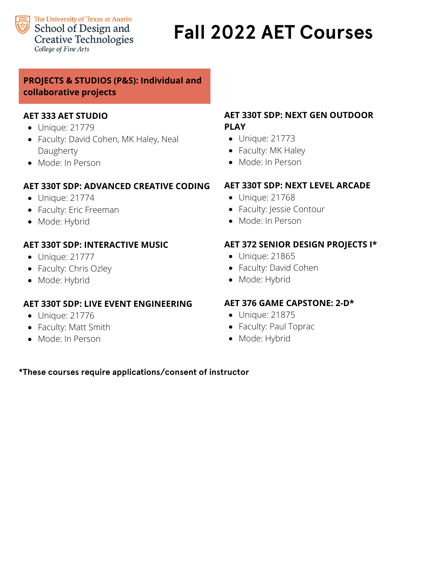

## **Fall 2022 AET Courses**

## **PROJECTS & STUDIOS (P&S): Individual and collaborative projects**

## **AET 333 AET STUDIO**

- Unique: 21779
- Faculty: David Cohen, MK Haley, Neal Daugherty
- Mode: In Person

## **AET 330T SDP: ADVANCED CREATIVE CODING**

- Unique: 21774
- Faculty: Eric Freeman
- Mode: Hybrid

## **AET 330T SDP: INTERACTIVE MUSIC**

- Unique: 21777
- Faculty: Chris Ozley
- Mode: Hybrid

## **AET 330T SDP: LIVE EVENT ENGINEERING**

- Unique: 21776
- Faculty: Matt Smith
- Mode: In Person

## **AET 330T SDP: NEXT GEN OUTDOOR PLAY**

- Unique: 21773
- Faculty: MK Haley
- Mode: In Person

## **AET 330T SDP: NEXT LEVEL ARCADE**

- Unique: 21768
- Faculty: Jessie Contour
- Mode: In Person

## **AET 372 SENIOR DESIGN PROJECTS I\***

- Unique: 21865
- Faculty: David Cohen
- Mode: Hybrid

## **AET 376 GAME CAPSTONE: 2-D\***

- Unique: 21875
- Faculty: Paul Toprac
- Mode: Hybrid

### **\*These courses require applications/consent of instructor**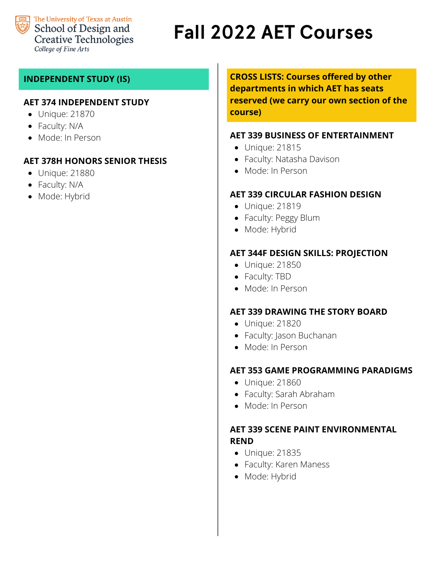

## **Fall 2022 AET Courses**

## **INDEPENDENT STUDY (IS)**

### **AET 374 INDEPENDENT STUDY**

- Unique: 21870
- Faculty: N/A
- Mode: In Person

### **AET 378H HONORS SENIOR THESIS**

- Unique: 21880
- Faculty: N/A
- Mode: Hybrid

**CROSS LISTS: Courses offered by other departments in which AET has seats reserved (we carry our own section of the course)**

#### **AET 339 BUSINESS OF ENTERTAINMENT**

- Unique: 21815
- Faculty: Natasha Davison
- Mode: In Person

#### **AET 339 CIRCULAR FASHION DESIGN**

- Unique: 21819
- Faculty: Peggy Blum
- Mode: Hybrid

#### **AET 344F DESIGN SKILLS: PROJECTION**

- Unique: 21850
- Faculty: TBD
- Mode: In Person

#### **AET 339 DRAWING THE STORY BOARD**

- Unique: 21820
- Faculty: Jason Buchanan
- Mode: In Person

#### **AET 353 GAME PROGRAMMING PARADIGMS**

- Unique: 21860
- Faculty: Sarah Abraham
- Mode: In Person

### **AET 339 SCENE PAINT ENVIRONMENTAL REND**

- Unique: 21835
- Faculty: Karen Maness
- Mode: Hybrid